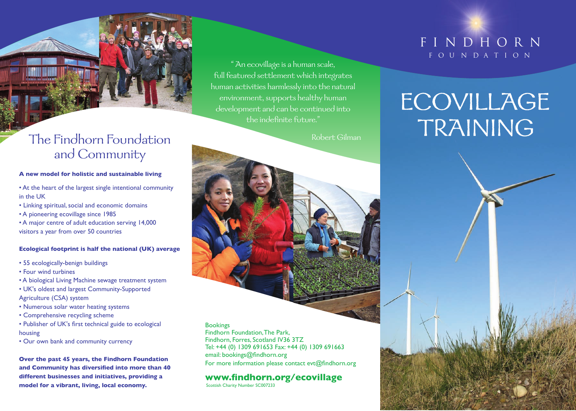### The Findhorn Foundation and Community

#### **A new model for holistic and sustainable living**

- At the heart of the largest single intentional community in the UK
- Linking spiritual, social and economic domains
- A pioneering ecovillage since 1985
- A major centre of adult education serving 14,000 visitors a year from over 50 countries

#### **Ecological footprint is half the national (UK) average**

- 55 ecologically-benign buildings
- Four wind turbines
- A biological Living Machine sewage treatment system
- UK's oldest and largest Community-Supported
- Agriculture (CSA) system
- Numerous solar water heating systems
- Comprehensive recycling scheme
- Publisher of UK's first technical guide to ecological housing
- Our own bank and community currency

**Over the past 45 years, the Findhorn Foundation and Community has diversified into more than 40 different businesses and initiatives, providing a model for a vibrant, living, local economy.**

" An ecovillage is a human scale, full featured settlement which integrates human activities harmlessly into the natural environment, supports healthy human development and can be continued into the indefinite future."<br>Robert Gilman

### **Bookings**

Findhorn Foundation, The Park, Findhorn, Forres, Scotland IV36 3TZ Tel: +44 (0) 1309 691653 Fax: +44 (0) 1309 691663 email: bookings@findhorn.org For more information please contact evt@findhorn.org

### **www.findhorn.org/ecovillage**

Scottish Charity Number SC007233

### FINDHORN fOU NDAT ION

# **ECOVILLAGE** TRAINING